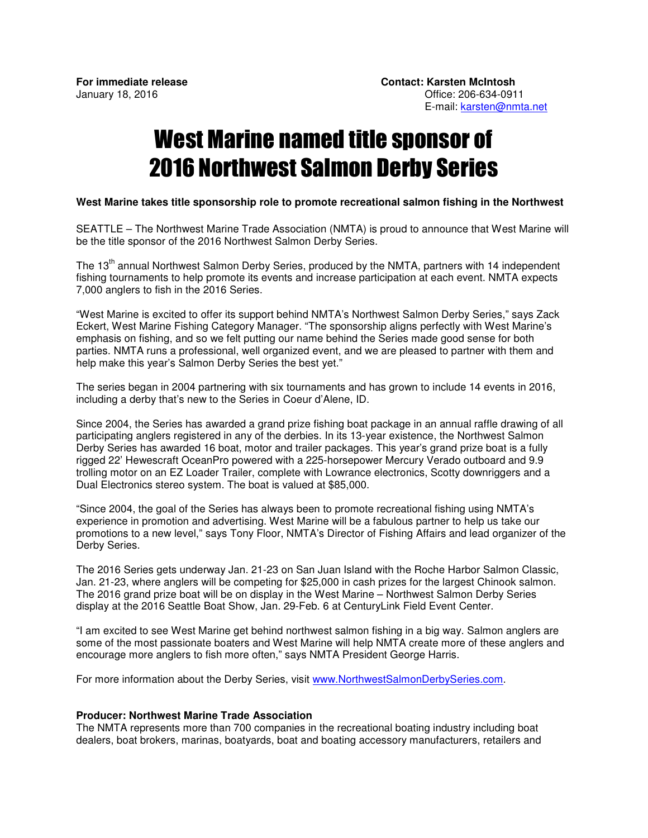## West Marine named title sponsor of 2016 Northwest Salmon Derby Series

## **West Marine takes title sponsorship role to promote recreational salmon fishing in the Northwest**

SEATTLE – The Northwest Marine Trade Association (NMTA) is proud to announce that West Marine will be the title sponsor of the 2016 Northwest Salmon Derby Series.

The 13<sup>th</sup> annual Northwest Salmon Derby Series, produced by the NMTA, partners with 14 independent fishing tournaments to help promote its events and increase participation at each event. NMTA expects 7,000 anglers to fish in the 2016 Series.

"West Marine is excited to offer its support behind NMTA's Northwest Salmon Derby Series," says Zack Eckert, West Marine Fishing Category Manager. "The sponsorship aligns perfectly with West Marine's emphasis on fishing, and so we felt putting our name behind the Series made good sense for both parties. NMTA runs a professional, well organized event, and we are pleased to partner with them and help make this year's Salmon Derby Series the best yet."

The series began in 2004 partnering with six tournaments and has grown to include 14 events in 2016, including a derby that's new to the Series in Coeur d'Alene, ID.

Since 2004, the Series has awarded a grand prize fishing boat package in an annual raffle drawing of all participating anglers registered in any of the derbies. In its 13-year existence, the Northwest Salmon Derby Series has awarded 16 boat, motor and trailer packages. This year's grand prize boat is a fully rigged 22' Hewescraft OceanPro powered with a 225-horsepower Mercury Verado outboard and 9.9 trolling motor on an EZ Loader Trailer, complete with Lowrance electronics, Scotty downriggers and a Dual Electronics stereo system. The boat is valued at \$85,000.

"Since 2004, the goal of the Series has always been to promote recreational fishing using NMTA's experience in promotion and advertising. West Marine will be a fabulous partner to help us take our promotions to a new level," says Tony Floor, NMTA's Director of Fishing Affairs and lead organizer of the Derby Series.

The 2016 Series gets underway Jan. 21-23 on San Juan Island with the Roche Harbor Salmon Classic, Jan. 21-23, where anglers will be competing for \$25,000 in cash prizes for the largest Chinook salmon. The 2016 grand prize boat will be on display in the West Marine – Northwest Salmon Derby Series display at the 2016 Seattle Boat Show, Jan. 29-Feb. 6 at CenturyLink Field Event Center.

"I am excited to see West Marine get behind northwest salmon fishing in a big way. Salmon anglers are some of the most passionate boaters and West Marine will help NMTA create more of these anglers and encourage more anglers to fish more often," says NMTA President George Harris.

For more information about the Derby Series, visit www.NorthwestSalmonDerbySeries.com.

## **Producer: Northwest Marine Trade Association**

The NMTA represents more than 700 companies in the recreational boating industry including boat dealers, boat brokers, marinas, boatyards, boat and boating accessory manufacturers, retailers and